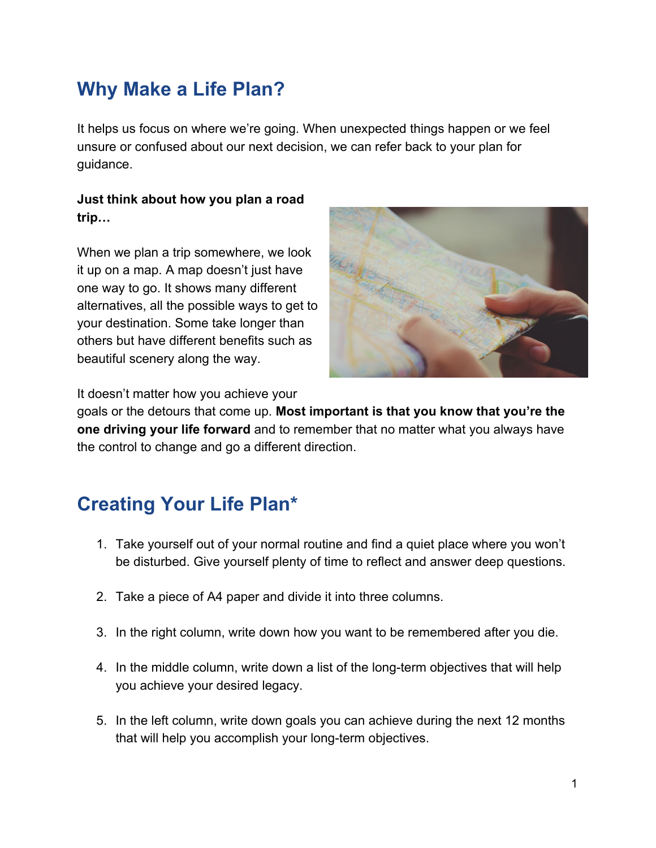## **Why Make a Life Plan?**

It helps us focus on where we're going. When unexpected things happen or we feel unsure or confused about our next decision, we can refer back to your plan for guidance.

#### **Just think about how you plan a road trip…**

When we plan a trip somewhere, we look it up on a map. A map doesn't just have one way to go. It shows many different alternatives, all the possible ways to get to your destination. Some take longer than others but have different benefits such as beautiful scenery along the way.



It doesn't matter how you achieve your

goals or the detours that come up. **Most important is that you know that you're the one driving your life forward** and to remember that no matter what you always have the control to change and go a different direction.

# **Creating Your Life Plan\***

- 1. Take yourself out of your normal routine and find a quiet place where you won't be disturbed. Give yourself plenty of time to reflect and answer deep questions.
- 2. Take a piece of A4 paper and divide it into three columns.
- 3. In the right column, write down how you want to be remembered after you die.
- 4. In the middle column, write down a list of the long-term objectives that will help you achieve your desired legacy.
- 5. In the left column, write down goals you can achieve during the next 12 months that will help you accomplish your long-term objectives.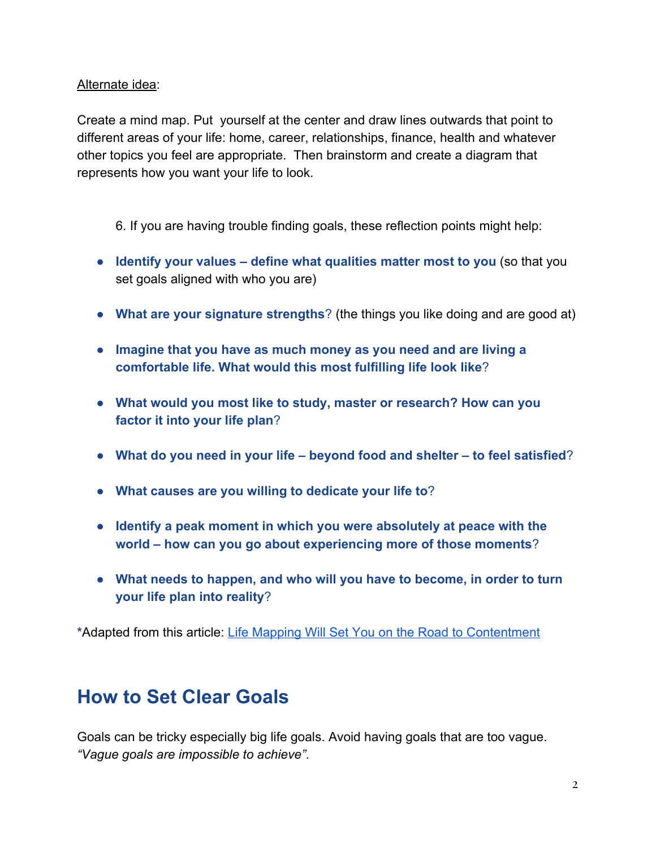Alternate idea:

Create a mind map. Put yourself at the center and draw lines outwards that point to different areas of your life: home, career, relationships, finance, health and whatever other topics you feel are appropriate. Then brainstorm and create a diagram that represents how you want your life to look.

6. If you are having trouble finding goals, these reflection points might help:

- **Identify your values define what qualities matter most to you** (so that you set goals aligned with who you are)
- **What are your signature strengths**? (the things you like doing and are good at)
- **Imagine that you have as much money as you need and are living a comfortable life. What would this most fulfilling life look like**?
- **What would you most like to study, master or research? How can you factor it into your life plan**?
- **What do you need in your life beyond food and shelter to feel satisfied**?
- **What causes are you willing to dedicate your life to**?
- **Identify a peak moment in which you were absolutely at peace with the world – how can you go about experiencing more of those moments**?
- **What needs to happen, and who will you have to become, in order to turn your life plan into reality**?

**\***Adapted from this article: [Life Mapping Will Set You on the Road to Contentment](https://www.telegraph.co.uk/lifestyle/wellbeing/10687542/Life-mapping-will-set-you-on-the-road-to-contentment.html)

## **How to Set Clear Goals**

Goals can be tricky especially big life goals. Avoid having goals that are too vague. *"Vague goals are impossible to achieve"*.